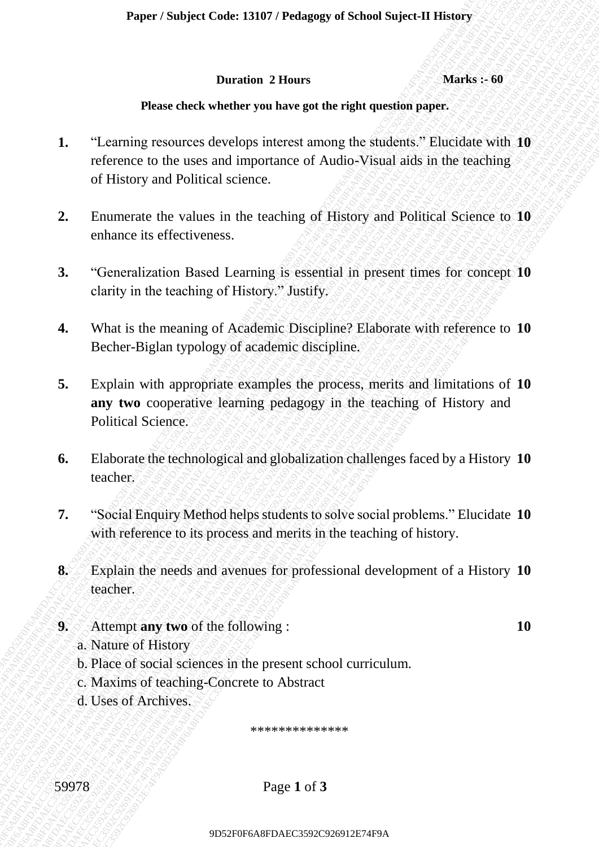#### **Duration 2 Hours Marks :- 60**

## **Please check whether you have got the right question paper.**

- **Please check where you have a more of the right operator of Length Cause in the reaching the studients of Hustique with 19<br>
reference to the uses and importance of Audio-Visual aids in the traching<br>
cf History and Politi Prove chemica a Hours Marks : 60**<br>
1. **Tanning resources develops interest anomay the engineering and interest and increase of Andro Visual and in the tracking of History and Political Science with the tracking of Hist** 9 France France France France France France France France France France France Control Control Control Control Control Control Control Control Control Control Control Control Control Control Control Control Control Contro Paper Sautget Code: 13197 / Pedagog of Science Maper 13 Horsts<br>
16 There check whether you have got the right question space.<br>
1. "Learning records are accelians are the right questions." Elusidate with 10<br>
receive to the Paper / Sotipes Code: 13107 / Pedagog of School Sojeci-04 History<br>
1920 - Marchive 22 Hours<br>
1920 - Here elsevis when the regulatory of the right question paper.<br>
1. "Teaming resonances develops interest anong the student Proper / Subject Code: 13107 / Probagge of School Suject-T History<br>
Denote of the right operation<br>
2D Ferronce to be access and importance of Andio-Visual aids in the traching<br>
1. "Leurning resources develops interest amo Proper Sonject Code: 13107 / Prolonger of Sohord Suject-II Bistony<br>
Duration 2 Bonna Marks: 46<br>
Promo chock whether you have got the relation properties<br>
1. "Learning technical celestrical cations, "Bindidate With 10<br>
or H Paper / Subject Code: 13467 / Pedagage of School Suject-IT History<br>
Paper a level by the right question gapic:<br>
1. "I earning connects the velocing initiates a aroung the stacking gapic:<br>
1. "I earning connects the velocin Paper / Subject Code: 13467 / Pedagage of School Suject-IT History<br>
Paper a level by the right question gapic:<br>
1. "I earning connects the velocing initiates a aroung the stacking gapic:<br>
1. "I earning connects the velocin Paper / Subject Code: 13467 / Pedagage of School Suject-IT History<br>
Paper a level by the right question gapic:<br>
1. "I earning connects the velocing initiates a aroung the stacking gapic:<br>
1. "I earning connects the velocin Paper / Subject Code: 13467 / Pedagage of School Suject-IT History<br>
Paper a level by the right question gapic:<br>
1. "I earning connects the velocing initiates a aroung the stacking gapic:<br>
1. "I earning connects the velocin Paper / Sobject Code: 13467 / Pedagogy of School Suject-IT History<br>
There is elsever be related under a particular and the right question paper<br>
1. "Learning resources to evelops interest among the studients" Litrestian wi Paper / Souljete Code: 13107 / Prolange of School Super-II Blancy<br>
Parameters American Statistics produces<br>
Parameters american control and the statistics projections<br>
1. "Leonvirge results relative points are also in the Paper /Subject Code: 13107 / Pedagog of School Suject-II Bloory<br>
Durantia 2 Theorem is the matter parameter of the register of the subjective of the state of the state of the state of the state of the state of the state of Paper / Saliped Code: 13107 / Pedagog of School Signed Library Marks 2: 60<br>
Denote check whether you have go the right questions paper.<br>
1. "Learning resources developes interned monog the sighting C limitative such 10<br>
re 9D52F0F6A8FDAEC3592C926912E74F9A9D52F0F6A8FDAEC3592C926912E74F9A9D52F0F6A8FDAEC3592C926912E74F9A9D52F0F6A8FDAEC3592C926912E74F9A9D52F0F6A8FDAEC3592C926912E74F9A9D52F0F6A8FDAEC3592C926912E74F9A Puper/Subject Code: 13107/Pedagogy of School Najoes-11 History<br>
1. Therming resources develope interval the right question paper.<br>
1. Therming resourced cevelope interval the right question paper.<br>
1. Therming resourced c Puper / Sonject Code: L3107 / Prohagog of School Schects - Marks : 60<br>
Daration 2 Elman — Marks : 90<br>
1. The correct coche parameter and the right questions paper.<br>
1. Thermatic connect coches meteors are and the valued in Paper / Subject Code: 13107 / Pedagogy of School Suject-II History<br>
Duration 2 Bours<br>
2. Clearing researchest besteed in the care than the substitute with the relationship of History and Political Scheme.<br>
2. Clearing rese Paper / Subject Code: 13107 / Pedagogy of School Sujece-II History<br>
Duration 2 Hours<br>
Duration 2 Hours<br>
Describe absorber state the right question appendix<br>
1. "Learning recources discuss in its tensching of simulation in **1.** "Learning resources develops interest among the students." Elucidate with **10** reference to the uses and importance of Audio-Visual aids in the teaching of History and Political science.
	- **2.** Enumerate the values in the teaching of History and Political Science to **10** enhance its effectiveness.
	- **3.** "Generalization Based Learning is essential in present times for concept **10** clarity in the teaching of History." Justify.
	- **4.** What is the meaning of Academic Discipline? Elaborate with reference to **10** Becher-Biglan typology of academic discipline.
	- **5.** Explain with appropriate examples the process, merits and limitations of **10 any two** cooperative learning pedagogy in the teaching of History and Political Science.
	- **6.** Elaborate the technological and globalization challenges faced by a History **10** teacher.
	- **7.** "Social Enquiry Method helps students to solve social problems." Elucidate **10** with reference to its process and merits in the teaching of history.
	- **8.** Explain the needs and avenues for professional development of a History **10** teacher.
	- **9.** Attempt **any two** of the following : **10**
		- a. Nature of History
		- b. Place of social sciences in the present school curriculum.
		- c. Maxims of teaching-Concrete to Abstract
		- d. Uses of Archives.

\*\*\*\*\*\*\*\*\*\*\*\*\*

59978 Page **1** of **3**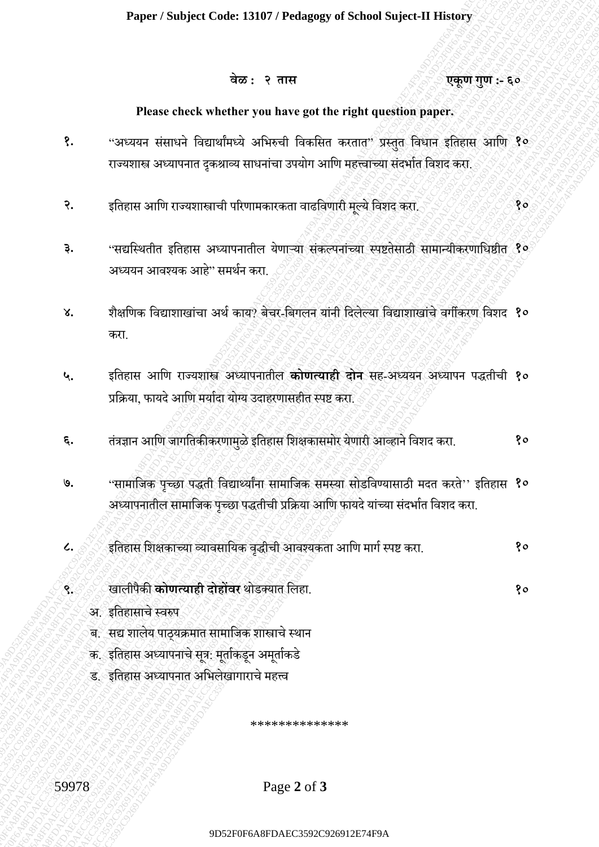# **वेळ : २ तास एकूण गुण :- ६०**

# **Please check whether you have got the right question paper.**

- **१.** "अध्ययन संसाधनेविद्यार्ाांमध्येअविरुची विकवसत करतात" प्रस्ततु विधान इवतहास आवि **१०** राज्यशास्त्र अध्यापनात दुकश्राव्य साधनांचा उपयोग आणि महत्त्वाच्या संदर्भात विशद करा.
- **२.** इवतहास आवि राज्यशास्त्राची पररिामकारकता िाढवििारी मल्ूयेविशद करा. **१०**
- **३.** "सद्यस्थितीत इतिहास अध्यापनातील येणाऱ्या संकल्पनांच्या स्पष्टतेसाठी सामान्यीकरणाधिष्ठीत १० अध्ययन आिश्यक आहे" समर्ान करा.
- ४. शैक्षणिक विद्याशाखांचा अर्थ काय? बेचर-बिगलन यांनी दिलेल्या विद्याशाखांचे वर्गीकरण विशद **१०** करा.
- $\begin{array}{lllllllllll} \mathbf{P} & \mathbf{R} & \mathbf{R} & \mathbf{R} & \mathbf{R} & \mathbf{R} & \mathbf{R} & \mathbf{R} & \mathbf{R} & \mathbf{R} & \mathbf{R} & \mathbf{R} & \mathbf{R} & \mathbf{R} & \mathbf{R} & \mathbf{R} & \mathbf{R} & \mathbf{R} & \mathbf{R} & \mathbf{R} & \mathbf{R} & \mathbf{R} & \mathbf{R} & \mathbf{R} & \mathbf{R} & \mathbf{R} & \mathbf{R} & \mathbf{R} & \mathbf{R} & \mathbf{R$ **Example 26** For example 26 For example 26 For example and the registre and the registre and the registre and the registre and the registre and the registre and the registre and the registre and the registre and the reg 9 $\frac{1}{4}\pi \times 27747$ <br>
Please check whether you have put the right question paper.<br>
9. Superint stearches representative in start of paper steeps from spins and the companion of the right of the right of the right of the r Paper / Subject Code: 12197 / Pedagogy of School apper.<br>
99  $\frac{1}{2}$ <br>  $\frac{1}{2}$ <br>  $\frac{1}{2}$ <br>  $\frac{1}{2}$ <br>  $\frac{1}{2}$ <br>  $\frac{1}{2}$ <br>  $\frac{1}{2}$ <br>  $\frac{1}{2}$ <br>  $\frac{1}{2}$ <br>  $\frac{1}{2}$ <br>  $\frac{1}{2}$ <br>  $\frac{1}{2}$ <br>  $\frac{1}{2}$ <br>  $\frac{1}{2}$ <br>  $\frac{1}{2$ Player / Subject Code: 13197 / Pedagong of School Sajectif History<br>
928 - 19<br>
19<br>
19<br>
19<br>
19<br>
19<br>
19<br>
19<br>
19 - 19 Andre Hotel School Service interest and the result of the result of the service interest<br>
19<br>
19 - 19 Andr Puper / Subject Code: 13.097 (Pubupage of School Suject). There is a result of the content of the state of the relation puper.<br>
These check whether some parts are got the relation puper.<br>
2. There is discussed under a sel Player / Subject Code: 13107 / Prolancy of School Suject Elistings<br>  $\overline{u}u\overline{v}$ <br>  $\overline{v}u\overline{v}$ <br>  $\overline{v}u\overline{v}$ <br>  $\overline{v}u\overline{v}$ <br>  $\overline{v}u\overline{v}$ <br>  $\overline{v}u\overline{v}$ <br>  $\overline{v}u\overline{v}$ <br>  $\overline{v}u\overline{v}$ <br>  $\overline{v}u\overline{v}$ <br> 9D52F0F6A8FDAEC3592C926912E74F9A9D52F0F6A8FDAEC3592C926912E74F9A9D52F0F6A8FDAEC3592C926912E74F9A9D52F0F6A8FDAEC3592C926912E74F9A9D52F0F6A8FDAEC3592C926912E74F9A9D52F0F6A8FDAEC3592C926912E74F9A 9D52F0F6A8FDAEC3592C926912E74F9A9D52F0F6A8FDAEC3592C926912E74F9A9D52F0F6A8FDAEC3592C926912E74F9A9D52F0F6A8FDAEC3592C926912E74F9A9D52F0F6A8FDAEC3592C926912E74F9A9D52F0F6A8FDAEC3592C926912E74F9A 9D52F0F6A8FDAEC3592C926912E74F9A9D52F0F6A8FDAEC3592C926912E74F9A9D52F0F6A8FDAEC3592C926912E74F9A9D52F0F6A8FDAEC3592C926912E74F9A9D52F0F6A8FDAEC3592C926912E74F9A9D52F0F6A8FDAEC3592C926912E74F9A 9D52F0F6A8FDAEC3592C926912E74F9A9D52F0F6A8FDAEC3592C926912E74F9A9D52F0F6A8FDAEC3592C926912E74F9A9D52F0F6A8FDAEC3592C926912E74F9A9D52F0F6A8FDAEC3592C926912E74F9A9D52F0F6A8FDAEC3592C926912E74F9A Paper / Sobject Code: 13487 / Profagogy of School Suject IT BHowser<br>  $\frac{1}{3}$  πρ. τ παι $\frac{1}{3}$ <br>
Place clock whether you have get the right question paper.<br>
These clock whether you have get the right question paper.<br>
4 9D52F0F6A8FDAEC3592C926912E74F9A9D52F0F6A8FDAEC3592C926912E74F9A9D52F0F6A8FDAEC3592C926912E74F9A9D52F0F6A8FDAEC3592C926912E74F9A9D52F0F6A8FDAEC3592C926912E74F9A9D52F0F6A8FDAEC3592C926912E74F9A Paper / Subject Code: 13107 / Polagoeg of School Suject 41 Holory<br>  $\frac{1}{2}$  and  $\frac{1}{2}$ <br>
Please check whether you have get the right question paper.<br>
2. and the first of the state of the state of the first of the state Paper / Subject Code: 13407 / Pedagog of School Suject-41 History<br>  $\hat{\sigma}z$ :  $\hat{\tau}$  error<br>
Please check whether you have got the right great spin paper.<br>
9.<br>
9. "Suppose strategies of motions and the right great spin pap Paper / Subject Code: 13107 / Pelagogy of School Aspects II Having Track (1392)<br>  $\frac{1}{2}$  Theoretical which the state of the state of the state of the state of the state of the state of the state of the state of the stat Paper / Subject Code: 13107 / Pedagog of School Suject III Indeep<br>  $\frac{\partial \phi}{\partial t}$  2 Paper at the control state of state of the right state of the right state of the control state of the restriction of the right of the rig Puper / Subject Code: I3197 / Probages of School Suject of Thissey<br>  $\frac{1}{2}\pi x$ :  $\frac{1}{2}\pi y$ <br>
Please check whether you have got the right question (super.<br>
7. contrast starts in Condrata Formatical active and super-<br>
7. g Paper / Subject Code: ISB07 / Probagog of School Suject-II History<br>  $\frac{\partial}{\partial t}g_{\alpha}$ :  $\frac{\partial}{\partial t}g_{\alpha}g_{\alpha}$ <br>  $\frac{\partial}{\partial t}g_{\alpha}g_{\alpha}$  recarce check, whether you have get the right question paper.<br>  $\frac{\partial}{\partial t}g_{\alpha}g_{\alpha}g_{\alpha}$  Paper / Subject Code: 13107 / Pedagogy of School Suice-IT History<br>  $\frac{1}{40}$  are check whether you have got the right question paper.<br>
1. "are check whether you have got the right question paper.<br>
1. "are check whether **५.** इवतहास आवि राज्यशास्त्र अध्यापनातील **कोणत्याही दोन** सह-अध्ययन अध्यापन पद्धतीची **१०** प्रक्रिया, फायदे आणि मर्यादा योग्य उदाहरणासहीत स्पष्ट करा.
	- **६.** तंत्रज्ञान आवि जागवतकीकरिामळुेइवतहास वशक्षकासमोर येिारी आव्हानेविशद करा. **१०**
	- **७.** "सामावजक पच्ृ छा पद्धती विद्यार्थयाांना सामावजक समस्या सोडविण्यासाठी मदत करते'' इवतहास **१०** अध्यापनातील सामाजिक पुच्छा पद्धतीची प्रक्रिया आणि फायदे यांच्या संदर्भात विशद करा.
	- **८.** इवतहास वशक्षकाच्या व्यािसावयक िद्धृ ीची आिश्यकता आवि मागास्पष्ट करा. **१०**
	- **९.** खालीपैकी **कोणत्याही दोहोंवर** र्ोडक्यात वलहा. **१०**
		- अ. इतिहासाचे स्वरुप
		- ब. सद्य शालेय पाठ्यक्रमात सामाजिक शास्त्राचे स्थान
		- क. इतिहास अध्यापनाचे सूत्र: मूर्ताकडून अमूर्ताकडे
		- .<br>ड. इतिहास अध्यापनात अभिलेखागाराचे महत्त्व

\*\*\*\*\*\*\*\*\*\*\*\*\*\*

59978 Page **2** of **3**